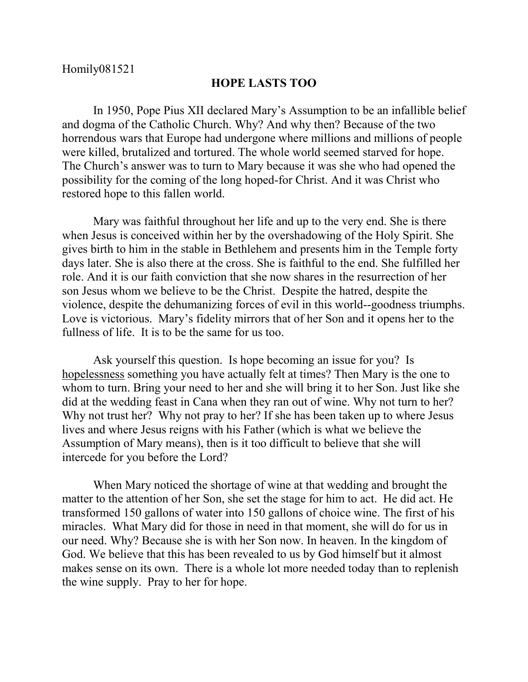## **HOPE LASTS TOO**

In 1950, Pope Pius XII declared Mary's Assumption to be an infallible belief and dogma of the Catholic Church. Why? And why then? Because of the two horrendous wars that Europe had undergone where millions and millions of people were killed, brutalized and tortured. The whole world seemed starved for hope. The Church's answer was to turn to Mary because it was she who had opened the possibility for the coming of the long hoped-for Christ. And it was Christ who restored hope to this fallen world.

Mary was faithful throughout her life and up to the very end. She is there when Jesus is conceived within her by the overshadowing of the Holy Spirit. She gives birth to him in the stable in Bethlehem and presents him in the Temple forty days later. She is also there at the cross. She is faithful to the end. She fulfilled her role. And it is our faith conviction that she now shares in the resurrection of her son Jesus whom we believe to be the Christ. Despite the hatred, despite the violence, despite the dehumanizing forces of evil in this world--goodness triumphs. Love is victorious. Mary's fidelity mirrors that of her Son and it opens her to the fullness of life. It is to be the same for us too.

Ask yourself this question. Is hope becoming an issue for you? Is hopelessness something you have actually felt at times? Then Mary is the one to whom to turn. Bring your need to her and she will bring it to her Son. Just like she did at the wedding feast in Cana when they ran out of wine. Why not turn to her? Why not trust her? Why not pray to her? If she has been taken up to where Jesus lives and where Jesus reigns with his Father (which is what we believe the Assumption of Mary means), then is it too difficult to believe that she will intercede for you before the Lord?

When Mary noticed the shortage of wine at that wedding and brought the matter to the attention of her Son, she set the stage for him to act. He did act. He transformed 150 gallons of water into 150 gallons of choice wine. The first of his miracles. What Mary did for those in need in that moment, she will do for us in our need. Why? Because she is with her Son now. In heaven. In the kingdom of God. We believe that this has been revealed to us by God himself but it almost makes sense on its own. There is a whole lot more needed today than to replenish the wine supply. Pray to her for hope.